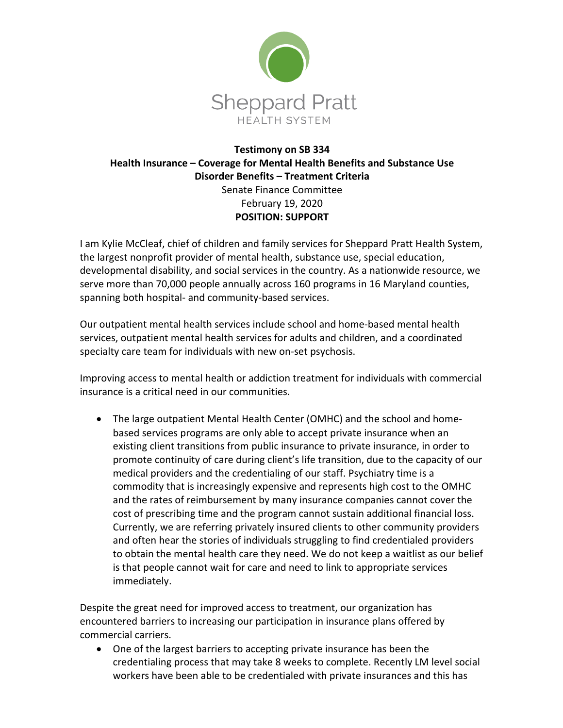

## **Testimony on SB 334 Health Insurance – Coverage for Mental Health Benefits and Substance Use Disorder Benefits – Treatment Criteria** Senate Finance Committee February 19, 2020

**POSITION: SUPPORT**

I am Kylie McCleaf, chief of children and family services for Sheppard Pratt Health System, the largest nonprofit provider of mental health, substance use, special education, developmental disability, and social services in the country. As a nationwide resource, we serve more than 70,000 people annually across 160 programs in 16 Maryland counties, spanning both hospital- and community-based services.

Our outpatient mental health services include school and home-based mental health services, outpatient mental health services for adults and children, and a coordinated specialty care team for individuals with new on-set psychosis.

Improving access to mental health or addiction treatment for individuals with commercial insurance is a critical need in our communities.

• The large outpatient Mental Health Center (OMHC) and the school and homebased services programs are only able to accept private insurance when an existing client transitions from public insurance to private insurance, in order to promote continuity of care during client's life transition, due to the capacity of our medical providers and the credentialing of our staff. Psychiatry time is a commodity that is increasingly expensive and represents high cost to the OMHC and the rates of reimbursement by many insurance companies cannot cover the cost of prescribing time and the program cannot sustain additional financial loss. Currently, we are referring privately insured clients to other community providers and often hear the stories of individuals struggling to find credentialed providers to obtain the mental health care they need. We do not keep a waitlist as our belief is that people cannot wait for care and need to link to appropriate services immediately.

Despite the great need for improved access to treatment, our organization has encountered barriers to increasing our participation in insurance plans offered by commercial carriers.

• One of the largest barriers to accepting private insurance has been the credentialing process that may take 8 weeks to complete. Recently LM level social workers have been able to be credentialed with private insurances and this has